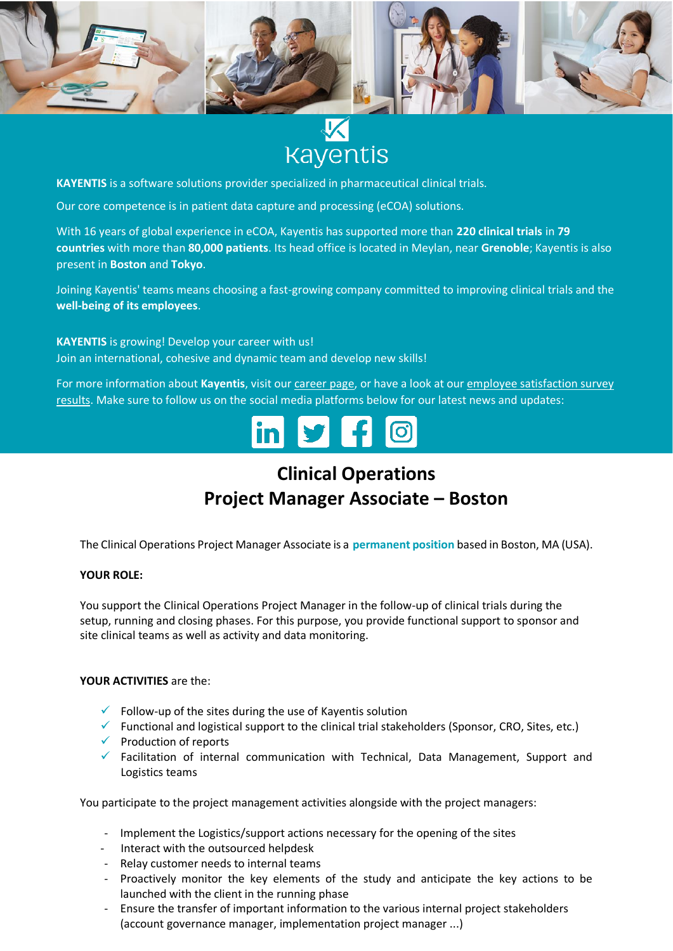

# **Kayentis**

**KAYENTIS** is a software solutions provider specialized in pharmaceutical clinical trials.

Our core competence is in patient data capture and processing (eCOA) solutions.

With 16 years of global experience in eCOA, Kayentis has supported more than **220 clinical trials** in **79 countries** with more than **80,000 patients**. Its head office is located in Meylan, near **Grenoble**; Kayentis is also present in **Boston** and **Tokyo**.

Joining Kayentis' teams means choosing a fast-growing company committed to improving clinical trials and the **well-being of its employees**.

**KAYENTIS** is growing! Develop your career with us! Join an international, cohesive and dynamic team and develop new skills!

For more information about **Kayentis**, visit ou[r career page,](https://kayentis.com/about-us/careers/) or have a look at our [employee satisfaction survey](https://kayentis.com/2019-employee-satisfaction-survey/)  [results.](https://kayentis.com/2019-employee-satisfaction-survey/) Make sure to follow us on the social media platforms below for our latest news and updates:



## **Clinical Operations Project Manager Associate – Boston**

The Clinical Operations Project Manager Associate is a **permanent position** based in Boston, MA (USA).

#### **YOUR ROLE:**

You support the Clinical Operations Project Manager in the follow-up of clinical trials during the setup, running and closing phases. For this purpose, you provide functional support to sponsor and site clinical teams as well as activity and data monitoring.

#### **YOUR ACTIVITIES** are the:

- $\checkmark$  Follow-up of the sites during the use of Kayentis solution
- $\checkmark$  Functional and logistical support to the clinical trial stakeholders (Sponsor, CRO, Sites, etc.)
- $\checkmark$  Production of reports
- $\checkmark$  Facilitation of internal communication with Technical, Data Management, Support and Logistics teams

You participate to the project management activities alongside with the project managers:

- Implement the Logistics/support actions necessary for the opening of the sites
- Interact with the outsourced helpdesk
- Relay customer needs to internal teams
- Proactively monitor the key elements of the study and anticipate the key actions to be launched with the client in the running phase
- Ensure the transfer of important information to the various internal project stakeholders (account governance manager, implementation project manager ...)